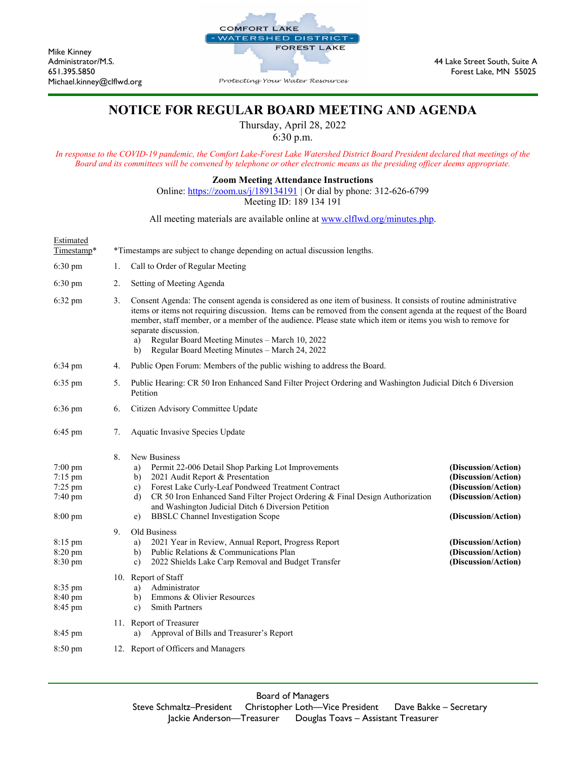

Mike Kinney

Michael.kinney@clflwd.org

## **NOTICE FOR REGULAR BOARD MEETING AND AGENDA**

Thursday, April 28, 2022

6:30 p.m.

*In response to the COVID-19 pandemic, the Comfort Lake-Forest Lake Watershed District Board President declared that meetings of the Board and its committees will be convened by telephone or other electronic means as the presiding officer deems appropriate.* 

**Zoom Meeting Attendance Instructions**

Online:<https://zoom.us/j/189134191> | Or dial by phone: 312-626-6799 Meeting ID: 189 134 191

All meeting materials are available online at [www.clflwd.org/minutes.php.](http://www.clflwd.org/minutes.php) 

| Estimated<br>Timestamp*                             |    | *Timestamps are subject to change depending on actual discussion lengths.                                                                                                                                                                                                                                                                                                                                                                                                                  |                                                                                                                 |  |
|-----------------------------------------------------|----|--------------------------------------------------------------------------------------------------------------------------------------------------------------------------------------------------------------------------------------------------------------------------------------------------------------------------------------------------------------------------------------------------------------------------------------------------------------------------------------------|-----------------------------------------------------------------------------------------------------------------|--|
| $6:30$ pm                                           | 1. | Call to Order of Regular Meeting                                                                                                                                                                                                                                                                                                                                                                                                                                                           |                                                                                                                 |  |
| $6:30 \text{ pm}$                                   | 2. | Setting of Meeting Agenda                                                                                                                                                                                                                                                                                                                                                                                                                                                                  |                                                                                                                 |  |
| 6:32 pm                                             | 3. | Consent Agenda: The consent agenda is considered as one item of business. It consists of routine administrative<br>items or items not requiring discussion. Items can be removed from the consent agenda at the request of the Board<br>member, staff member, or a member of the audience. Please state which item or items you wish to remove for<br>separate discussion.<br>Regular Board Meeting Minutes - March 10, 2022<br>a)<br>Regular Board Meeting Minutes - March 24, 2022<br>b) |                                                                                                                 |  |
| 6:34 pm                                             | 4. | Public Open Forum: Members of the public wishing to address the Board.                                                                                                                                                                                                                                                                                                                                                                                                                     |                                                                                                                 |  |
| 6:35 pm                                             | 5. | Public Hearing: CR 50 Iron Enhanced Sand Filter Project Ordering and Washington Judicial Ditch 6 Diversion<br>Petition                                                                                                                                                                                                                                                                                                                                                                     |                                                                                                                 |  |
| 6:36 pm                                             | 6. | Citizen Advisory Committee Update                                                                                                                                                                                                                                                                                                                                                                                                                                                          |                                                                                                                 |  |
| 6:45 pm                                             | 7. | Aquatic Invasive Species Update                                                                                                                                                                                                                                                                                                                                                                                                                                                            |                                                                                                                 |  |
| 7:00 pm<br>7:15 pm<br>7:25 pm<br>7:40 pm<br>8:00 pm | 8. | New Business<br>Permit 22-006 Detail Shop Parking Lot Improvements<br>a)<br>2021 Audit Report & Presentation<br>b)<br>Forest Lake Curly-Leaf Pondweed Treatment Contract<br>$\mathbf{c}$<br>CR 50 Iron Enhanced Sand Filter Project Ordering & Final Design Authorization<br>d)<br>and Washington Judicial Ditch 6 Diversion Petition<br><b>BBSLC</b> Channel Investigation Scope<br>e)                                                                                                    | (Discussion/Action)<br>(Discussion/Action)<br>(Discussion/Action)<br>(Discussion/Action)<br>(Discussion/Action) |  |
| 8:15 pm<br>8:20 pm<br>8:30 pm                       | 9. | Old Business<br>2021 Year in Review, Annual Report, Progress Report<br>a)<br>Public Relations & Communications Plan<br>b)<br>2022 Shields Lake Carp Removal and Budget Transfer<br>c)                                                                                                                                                                                                                                                                                                      | (Discussion/Action)<br>(Discussion/Action)<br>(Discussion/Action)                                               |  |
| 8:35 pm<br>8:40 pm<br>8:45 pm                       |    | 10. Report of Staff<br>Administrator<br>a)<br>Emmons & Olivier Resources<br>b)<br><b>Smith Partners</b><br>c)                                                                                                                                                                                                                                                                                                                                                                              |                                                                                                                 |  |
| 8:45 pm                                             |    | 11. Report of Treasurer<br>Approval of Bills and Treasurer's Report<br>a)                                                                                                                                                                                                                                                                                                                                                                                                                  |                                                                                                                 |  |
| 8:50 pm                                             |    | 12. Report of Officers and Managers                                                                                                                                                                                                                                                                                                                                                                                                                                                        |                                                                                                                 |  |
|                                                     |    |                                                                                                                                                                                                                                                                                                                                                                                                                                                                                            |                                                                                                                 |  |